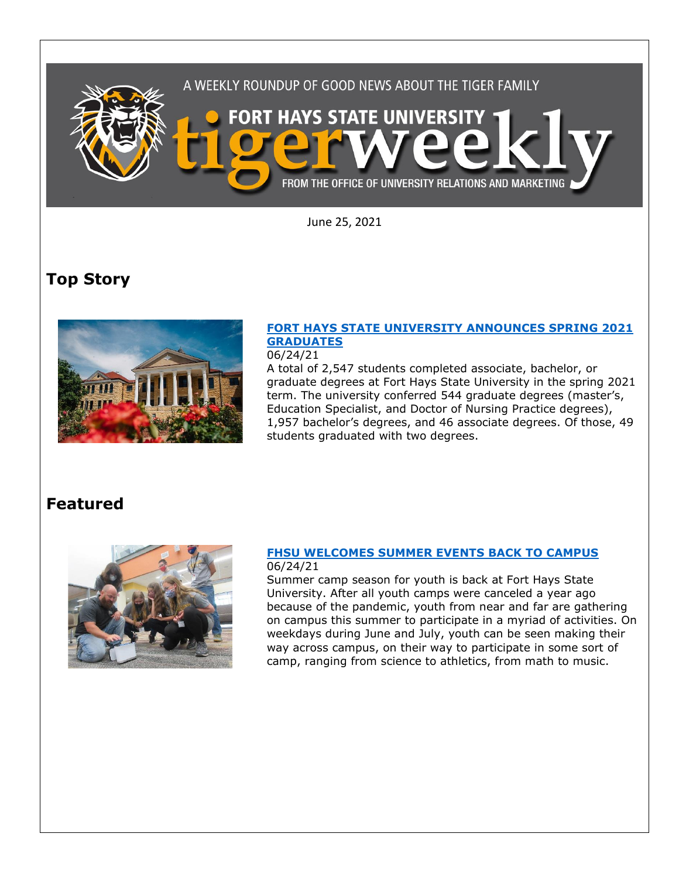

June 25, 2021

# **Top Story**



### **[FORT HAYS STATE UNIVERSITY ANNOUNCES SPRING 2021](https://fhsu.edu/news/2021/06/fort-hays-state-university-announces-spring-2021-graduates)  [GRADUATES](https://fhsu.edu/news/2021/06/fort-hays-state-university-announces-spring-2021-graduates)** 06/24/21

A total of 2,547 students completed associate, bachelor, or graduate degrees at Fort Hays State University in the spring 2021 term. The university conferred 544 graduate degrees (master's, Education Specialist, and Doctor of Nursing Practice degrees), 1,957 bachelor's degrees, and 46 associate degrees. Of those, 49 students graduated with two degrees.

## **Featured**



### **[FHSU WELCOMES SUMMER EVENTS BACK TO CAMPUS](https://fhsu.edu/news/2021/06/fhsu-welcomes-summer-events-back-to-campus)** 06/24/21

Summer camp season for youth is back at Fort Hays State University. After all youth camps were canceled a year ago because of the pandemic, youth from near and far are gathering on campus this summer to participate in a myriad of activities. On weekdays during June and July, youth can be seen making their way across campus, on their way to participate in some sort of camp, ranging from science to athletics, from math to music.